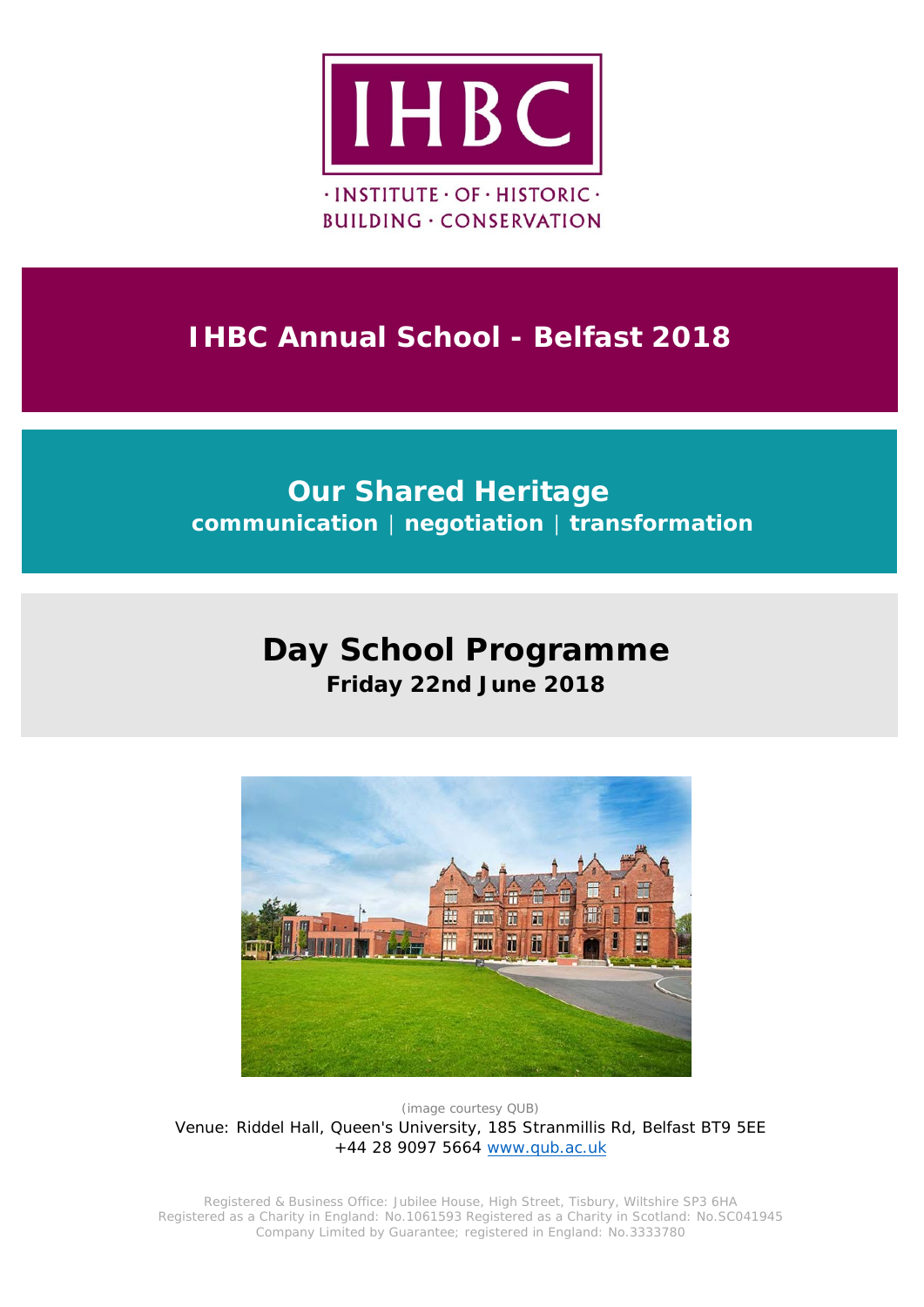

## **IHBC Annual School - Belfast 2018**

### **Our Shared Heritage communication │ negotiation │ transformation**

# **Day School Programme**

**Friday 22nd June 2018**



*(image courtesy QUB)* Venue: Riddel Hall, Queen's University, 185 Stranmillis Rd, Belfast BT9 5EE +44 28 9097 5664 [www.qub.ac.uk](http://www.qub.ac.uk/)

Registered & Business Office: Jubilee House, High Street, Tisbury, Wiltshire SP3 6HA Registered as a Charity in England: No.1061593 Registered as a Charity in Scotland: No.SC041945 Company Limited by Guarantee; registered in England: No.3333780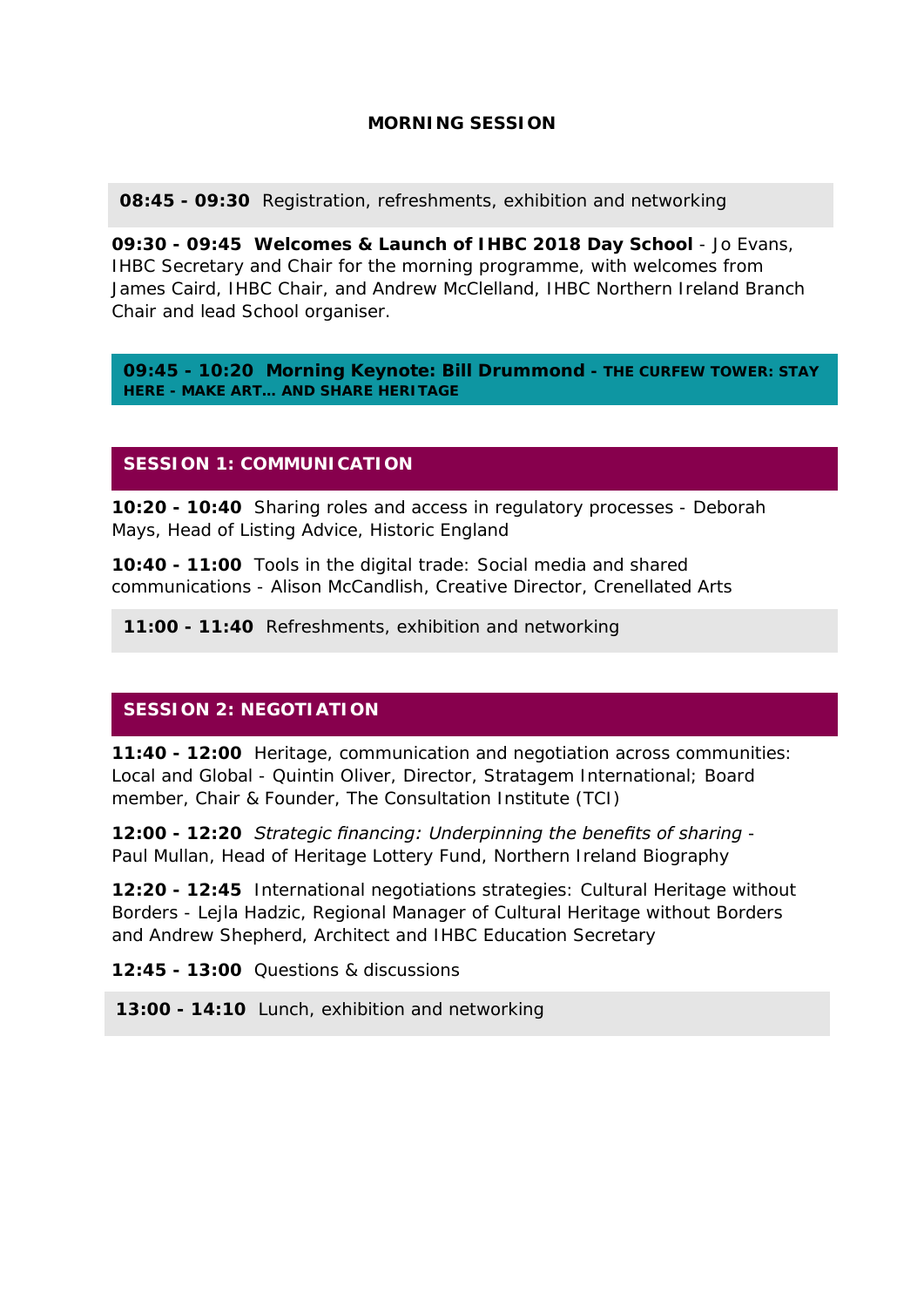#### **MORNING SESSION**

**08:45 - 09:30** Registration, refreshments, exhibition and networking

**09:30 - 09:45 Welcomes & Launch of IHBC 2018 Day School** - Jo Evans, IHBC Secretary and Chair for the morning programme, with welcomes from James Caird, IHBC Chair, and Andrew McClelland, IHBC Northern Ireland Branch Chair and lead School organiser.

**09:45 - 10:20 Morning Keynote: Bill Drummond -** *THE CURFEW TOWER: STAY HERE - MAKE ART… AND SHARE HERITAGE*

#### **SESSION 1: COMMUNICATION**

**10:20 - 10:40** *Sharing roles and access in regulatory processes -* Deborah Mays, Head of Listing Advice, Historic England

**10:40 - 11:00** *Tools in the digital trade: Social media and shared communications -* Alison McCandlish, Creative Director, Crenellated Arts

**11:00 - 11:40** Refreshments, exhibition and networking

#### **SESSION 2: NEGOTIATION**

**11:40 - 12:00** *Heritage, communication and negotiation across communities: Local and Global -* Quintin Oliver, Director, Stratagem International; Board member, Chair & Founder, The Consultation Institute (TCI)

**12:00 - 12:20** *Strategic financing: Underpinning the benefits of sharing* - Paul Mullan, Head of Heritage Lottery Fund, Northern Ireland Biography

**12:20 - 12:45** *International negotiations strategies: Cultural Heritage without Borders -* Lejla Hadzic, Regional Manager of Cultural Heritage without Borders and Andrew Shepherd, Architect and IHBC Education Secretary

**12:45 - 13:00** Questions & discussions

**13:00 - 14:10** Lunch, exhibition and networking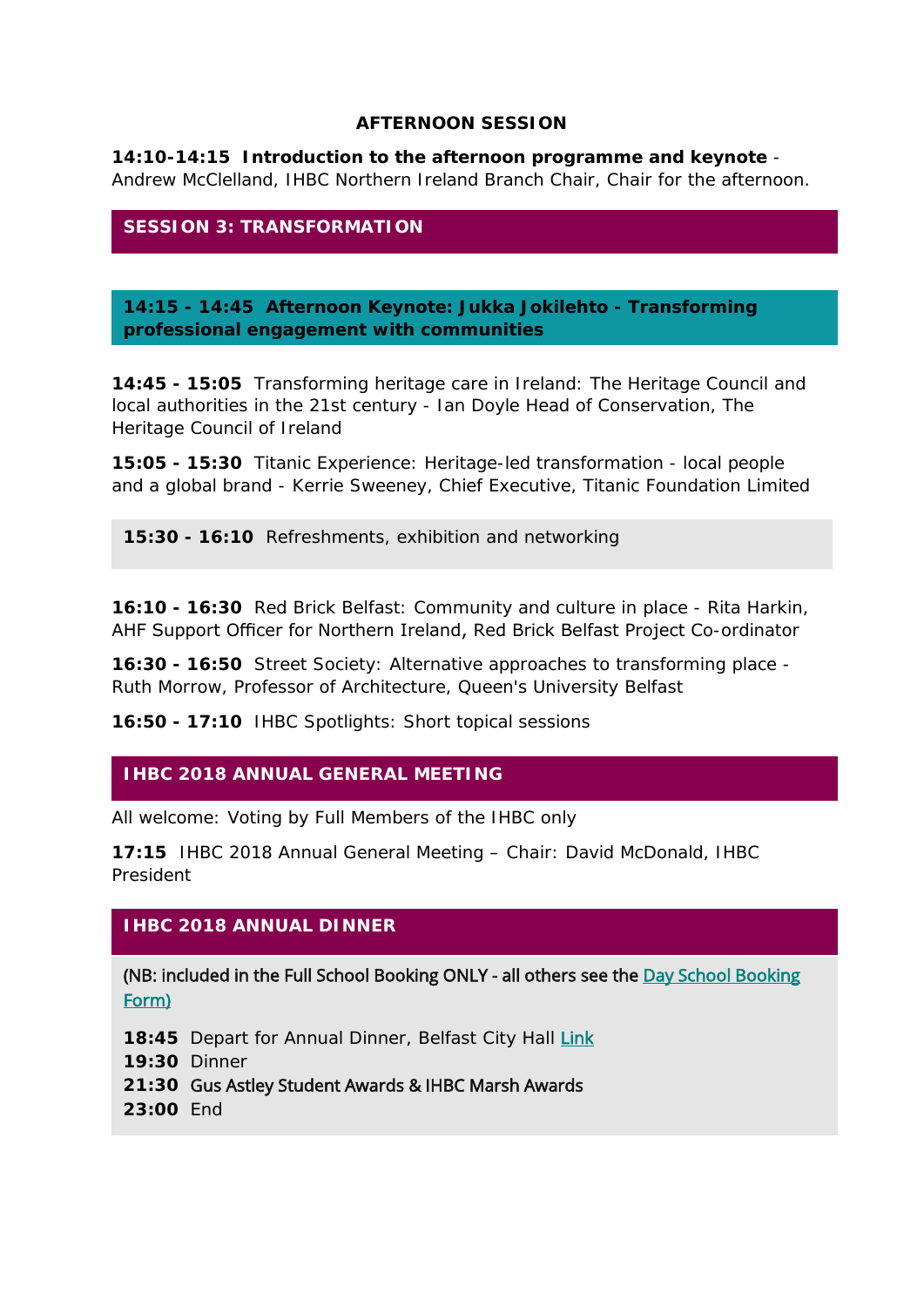#### **AFTERNOON SESSION**

**14:10-14:15 Introduction to the afternoon programme and keynote** - Andrew McClelland, IHBC Northern Ireland Branch Chair, Chair for the afternoon.

#### **SESSION 3: TRANSFORMATION**

**14:15 - 14:45 Afternoon Keynote: Jukka Jokilehto -** *Transforming professional engagement with communities*

**14:45 - 15:05** *Transforming heritage care in Ireland: The Heritage Council and local authorities in the 21st century -* Ian Doyle Head of Conservation, The Heritage Council of Ireland

**15:05 - 15:30** *Titanic Experience: Heritage-led transformation - local people and a global brand -* Kerrie Sweeney, Chief Executive, Titanic Foundation Limited

**15:30 - 16:10** Refreshments, exhibition and networking

**16:10 - 16:30** *Red Brick Belfast: Community and culture in place -* Rita Harkin, AHF Support Officer for Northern Ireland, Red Brick Belfast Project Co-ordinator

**16:30 - 16:50** *Street Society: Alternative approaches to transforming place* - Ruth Morrow, Professor of Architecture, Queen's University Belfast

**16:50 - 17:10** IHBC Spotlights: Short topical sessions

#### **IHBC 2018 ANNUAL GENERAL MEETING**

*All welcome: Voting by Full Members of the IHBC only*

**17:15** IHBC 2018 Annual General Meeting – Chair: David McDonald, IHBC President

#### **IHBC 2018 ANNUAL DINNER**

(NB: included in the Full School Booking ONLY - all others see the [Day School Booking](https://ihbc.wufoo.eu/forms/s11j9rk602wy92j/)  [Form\)](https://ihbc.wufoo.eu/forms/s11j9rk602wy92j/)

18:45 Depart for Annual Dinner, Belfast City Hall [Link](http://www.belfastcity.gov.uk/tourism-venues/cityhall/cityhall-about.aspx)

**19:30** Dinner

- **21:30** Gus Astley Student Awards & IHBC Marsh Awards
- **23:00** End